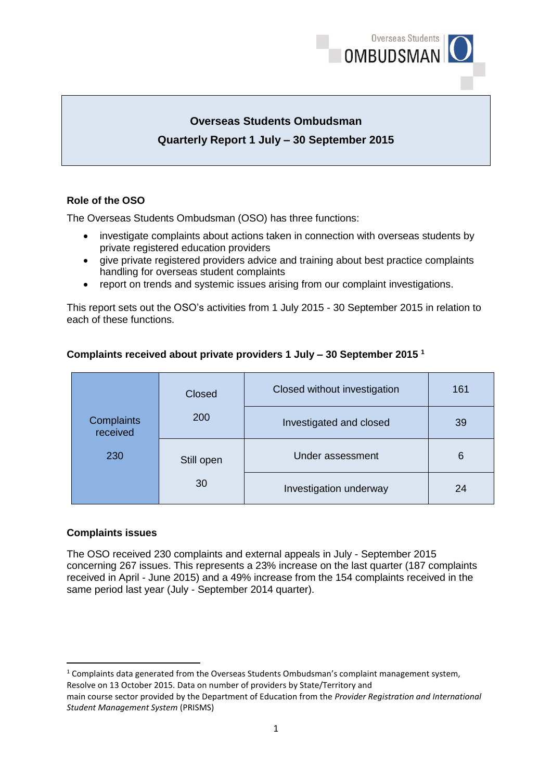

# **Overseas Students Ombudsman Quarterly Report 1 July – 30 September 2015**

# **Role of the OSO**

The Overseas Students Ombudsman (OSO) has three functions:

- investigate complaints about actions taken in connection with overseas students by private registered education providers
- give private registered providers advice and training about best practice complaints handling for overseas student complaints
- report on trends and systemic issues arising from our complaint investigations.

This report sets out the OSO's activities from 1 July 2015 - 30 September 2015 in relation to each of these functions.

|                        | Closed     | Closed without investigation | 161 |
|------------------------|------------|------------------------------|-----|
| Complaints<br>received | 200        | Investigated and closed      | 39  |
| 230                    | Still open | Under assessment             | 6   |
| 30                     |            | Investigation underway       | 24  |

# **Complaints received about private providers 1 July – 30 September 2015 <sup>1</sup>**

## **Complaints issues**

**.** 

The OSO received 230 complaints and external appeals in July - September 2015 concerning 267 issues. This represents a 23% increase on the last quarter (187 complaints received in April - June 2015) and a 49% increase from the 154 complaints received in the same period last year (July - September 2014 quarter).

<sup>1</sup> Complaints data generated from the Overseas Students Ombudsman's complaint management system, Resolve on 13 October 2015. Data on number of providers by State/Territory and

main course sector provided by the Department of Education from the *Provider Registration and International Student Management System* (PRISMS)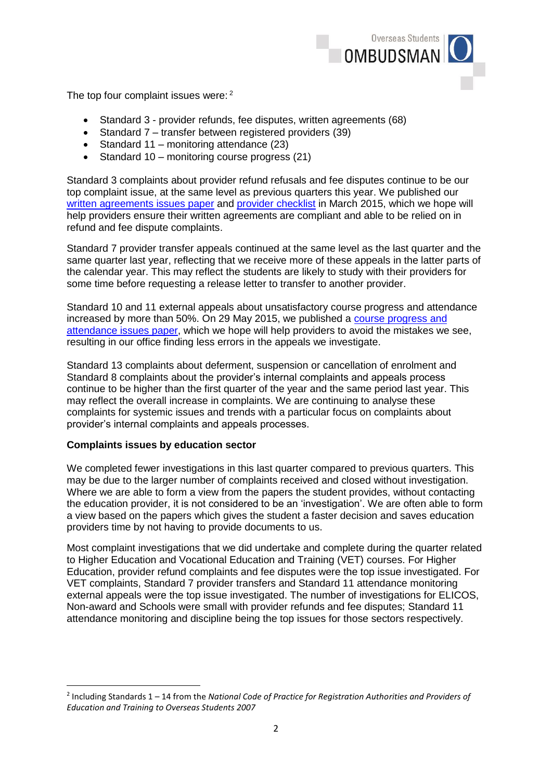

The top four complaint issues were: 2

- Standard 3 provider refunds, fee disputes, written agreements (68)
- Standard 7 transfer between registered providers (39)
- Standard 11 monitoring attendance  $(23)$
- Standard 10 monitoring course progress (21)

Standard 3 complaints about provider refund refusals and fee disputes continue to be our top complaint issue, at the same level as previous quarters this year. We published our [written agreements issues paper](http://www.oso.gov.au/docs/attachment_a_waip.pdf) and [provider checklist](http://www.oso.gov.au/docs/attachment_b_waip_external_checklist.pdf) in March 2015, which we hope will help providers ensure their written agreements are compliant and able to be relied on in refund and fee dispute complaints.

Standard 7 provider transfer appeals continued at the same level as the last quarter and the same quarter last year, reflecting that we receive more of these appeals in the latter parts of the calendar year. This may reflect the students are likely to study with their providers for some time before requesting a release letter to transfer to another provider.

Standard 10 and 11 external appeals about unsatisfactory course progress and attendance increased by more than 50%. On 29 May 2015, we published a [course progress and](http://www.oso.gov.au/docs/Course_Progress_May_2015.pdf)  attendance [issues paper,](http://www.oso.gov.au/docs/Course_Progress_May_2015.pdf) which we hope will help providers to avoid the mistakes we see, resulting in our office finding less errors in the appeals we investigate.

Standard 13 complaints about deferment, suspension or cancellation of enrolment and Standard 8 complaints about the provider's internal complaints and appeals process continue to be higher than the first quarter of the year and the same period last year. This may reflect the overall increase in complaints. We are continuing to analyse these complaints for systemic issues and trends with a particular focus on complaints about provider's internal complaints and appeals processes.

#### **Complaints issues by education sector**

**.** 

We completed fewer investigations in this last quarter compared to previous quarters. This may be due to the larger number of complaints received and closed without investigation. Where we are able to form a view from the papers the student provides, without contacting the education provider, it is not considered to be an 'investigation'. We are often able to form a view based on the papers which gives the student a faster decision and saves education providers time by not having to provide documents to us.

Most complaint investigations that we did undertake and complete during the quarter related to Higher Education and Vocational Education and Training (VET) courses. For Higher Education, provider refund complaints and fee disputes were the top issue investigated. For VET complaints, Standard 7 provider transfers and Standard 11 attendance monitoring external appeals were the top issue investigated. The number of investigations for ELICOS, Non-award and Schools were small with provider refunds and fee disputes; Standard 11 attendance monitoring and discipline being the top issues for those sectors respectively.

<sup>2</sup> Including Standards 1 – 14 from the *National Code of Practice for Registration Authorities and Providers of Education and Training to Overseas Students 2007*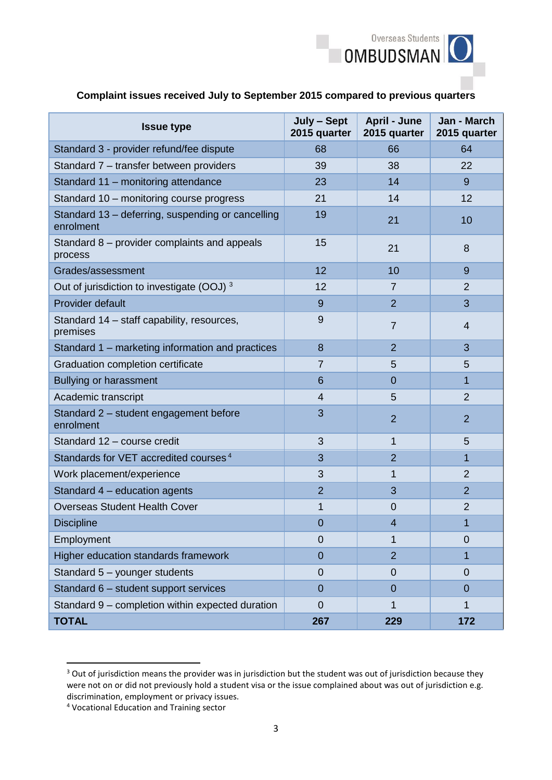

|  | Complaint issues received July to September 2015 compared to previous quarters |
|--|--------------------------------------------------------------------------------|
|  |                                                                                |

| <b>Issue type</b>                                              | July - Sept<br>2015 quarter | <b>April - June</b><br>2015 quarter | Jan - March<br>2015 quarter |
|----------------------------------------------------------------|-----------------------------|-------------------------------------|-----------------------------|
| Standard 3 - provider refund/fee dispute                       | 68                          | 66                                  | 64                          |
| Standard 7 – transfer between providers                        | 39                          | 38                                  | 22                          |
| Standard 11 - monitoring attendance                            | 23                          | 14                                  | 9                           |
| Standard 10 - monitoring course progress                       | 21                          | 14                                  | $12 \overline{ }$           |
| Standard 13 - deferring, suspending or cancelling<br>enrolment | 19                          | 21                                  | 10                          |
| Standard 8 – provider complaints and appeals<br>process        | 15                          | 21                                  | 8                           |
| Grades/assessment                                              | 12                          | 10                                  | 9                           |
| Out of jurisdiction to investigate (OOJ) 3                     | 12                          | $\overline{7}$                      | $\overline{2}$              |
| Provider default                                               | 9                           | $\overline{2}$                      | 3                           |
| Standard 14 – staff capability, resources,<br>premises         | 9                           | $\overline{7}$                      | 4                           |
| Standard 1 - marketing information and practices               | 8                           | $\overline{2}$                      | 3                           |
| Graduation completion certificate                              | $\overline{7}$              | 5                                   | 5                           |
| <b>Bullying or harassment</b>                                  | 6                           | 0                                   | 1                           |
| Academic transcript                                            | $\overline{4}$              | 5                                   | $\overline{2}$              |
| Standard 2 - student engagement before<br>enrolment            | 3                           | $\overline{2}$                      | $\overline{2}$              |
| Standard 12 - course credit                                    | 3                           | 1                                   | 5                           |
| Standards for VET accredited courses <sup>4</sup>              | 3                           | $\overline{2}$                      | 1                           |
| Work placement/experience                                      | 3                           | 1                                   | $\overline{2}$              |
| Standard 4 - education agents                                  | $\overline{2}$              | 3                                   | $\overline{2}$              |
| <b>Overseas Student Health Cover</b>                           | 1                           | 0                                   | $\overline{2}$              |
| <b>Discipline</b>                                              | 0                           | 4                                   | 1                           |
| Employment                                                     | $\mathbf 0$                 | 1                                   | $\overline{0}$              |
| Higher education standards framework                           | $\overline{0}$              | $\overline{2}$                      | 1                           |
| Standard 5 - younger students                                  | 0                           | 0                                   | 0                           |
| Standard 6 - student support services                          | $\overline{0}$              | 0                                   | 0                           |
| Standard 9 - completion within expected duration               | 0                           | 1                                   | 1                           |
| <b>TOTAL</b>                                                   | 267                         | 229                                 | 172                         |

<sup>&</sup>lt;sup>3</sup> Out of jurisdiction means the provider was in jurisdiction but the student was out of jurisdiction because they were not on or did not previously hold a student visa or the issue complained about was out of jurisdiction e.g. discrimination, employment or privacy issues.

**.** 

<sup>4</sup> Vocational Education and Training sector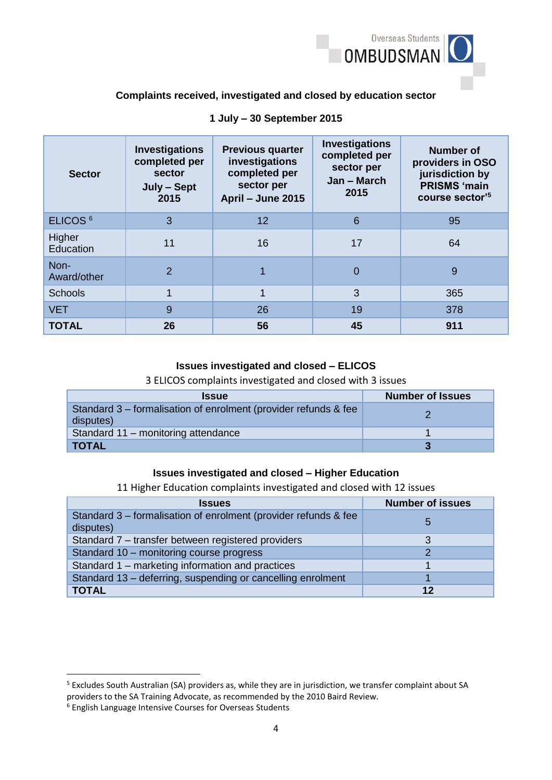

### **Complaints received, investigated and closed by education sector**

| <b>Sector</b>       | <b>Investigations</b><br>completed per<br>sector<br>July - Sept<br>2015 | <b>Previous quarter</b><br>investigations<br>completed per<br>sector per<br>April - June 2015 | <b>Investigations</b><br>completed per<br>sector per<br>Jan - March<br>2015 | <b>Number of</b><br>providers in OSO<br>jurisdiction by<br><b>PRISMS 'main</b><br>course sector'5 |
|---------------------|-------------------------------------------------------------------------|-----------------------------------------------------------------------------------------------|-----------------------------------------------------------------------------|---------------------------------------------------------------------------------------------------|
| ELICOS <sup>6</sup> | 3                                                                       | 12                                                                                            | 6                                                                           | 95                                                                                                |
| Higher<br>Education | 11                                                                      | 16                                                                                            | 17                                                                          | 64                                                                                                |
| Non-<br>Award/other | $\overline{2}$                                                          |                                                                                               | $\overline{0}$                                                              | 9                                                                                                 |
| <b>Schools</b>      | 1                                                                       | $\mathbf 1$                                                                                   | 3                                                                           | 365                                                                                               |
| <b>VET</b>          | 9                                                                       | 26                                                                                            | 19                                                                          | 378                                                                                               |
| <b>TOTAL</b>        | 26                                                                      | 56                                                                                            | 45                                                                          | 911                                                                                               |

### **1 July – 30 September 2015**

#### **Issues investigated and closed – ELICOS**

3 ELICOS complaints investigated and closed with 3 issues

| <b>Issue</b>                                                                 | <b>Number of Issues</b> |
|------------------------------------------------------------------------------|-------------------------|
| Standard 3 – formalisation of enrolment (provider refunds & fee<br>disputes) |                         |
| Standard 11 - monitoring attendance                                          |                         |
| <b>TOTAL</b>                                                                 |                         |

#### **Issues investigated and closed – Higher Education**

11 Higher Education complaints investigated and closed with 12 issues

| <b>Issues</b>                                                                | <b>Number of issues</b> |
|------------------------------------------------------------------------------|-------------------------|
| Standard 3 – formalisation of enrolment (provider refunds & fee<br>disputes) | b                       |
| Standard 7 – transfer between registered providers                           |                         |
| Standard 10 - monitoring course progress                                     |                         |
| Standard 1 – marketing information and practices                             |                         |
| Standard 13 - deferring, suspending or cancelling enrolment                  |                         |
| <b>TOTAL</b>                                                                 | 12                      |

**.** 

<sup>5</sup> Excludes South Australian (SA) providers as, while they are in jurisdiction, we transfer complaint about SA providers to the SA Training Advocate, as recommended by the 2010 Baird Review.

<sup>6</sup> English Language Intensive Courses for Overseas Students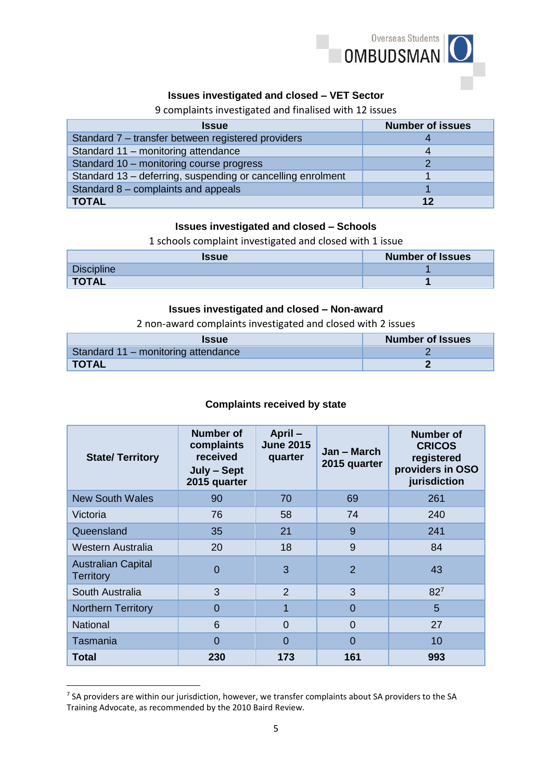

# **Issues investigated and closed – VET Sector**

# 9 complaints investigated and finalised with 12 issues

| <b>Issue</b>                                                | <b>Number of issues</b> |
|-------------------------------------------------------------|-------------------------|
| Standard 7 - transfer between registered providers          |                         |
| Standard 11 - monitoring attendance                         |                         |
| Standard 10 - monitoring course progress                    |                         |
| Standard 13 - deferring, suspending or cancelling enrolment |                         |
| Standard 8 - complaints and appeals                         |                         |
| <b>TOTAL</b>                                                | 12                      |

### **Issues investigated and closed – Schools**

1 schools complaint investigated and closed with 1 issue

| <b>Issue</b> | <b>Number of Issues</b> |
|--------------|-------------------------|
| Discipline   |                         |
| <b>TOTAL</b> |                         |

### **Issues investigated and closed – Non-award**

2 non-award complaints investigated and closed with 2 issues

| <b>Issue</b>                        | <b>Number of Issues</b> |
|-------------------------------------|-------------------------|
| Standard 11 – monitoring attendance |                         |
| <b>TOTAL</b>                        |                         |

## **Complaints received by state**

| <b>State/Territory</b>                        | Number of<br>complaints<br>received<br>July - Sept<br>2015 quarter | April-<br><b>June 2015</b><br>quarter | Jan – March<br>2015 quarter | <b>Number of</b><br><b>CRICOS</b><br>registered<br>providers in OSO<br>jurisdiction |
|-----------------------------------------------|--------------------------------------------------------------------|---------------------------------------|-----------------------------|-------------------------------------------------------------------------------------|
| <b>New South Wales</b>                        | 90                                                                 | 70                                    | 69                          | 261                                                                                 |
| Victoria                                      | 76                                                                 | 58                                    | 74                          | 240                                                                                 |
| Queensland                                    | 35                                                                 | 21                                    | 9                           | 241                                                                                 |
| Western Australia                             | 20                                                                 | 18                                    | 9                           | 84                                                                                  |
| <b>Australian Capital</b><br><b>Territory</b> | $\Omega$                                                           | 3                                     | $\overline{2}$              | 43                                                                                  |
| South Australia                               | 3                                                                  | $\overline{2}$                        | 3                           | $82^7$                                                                              |
| <b>Northern Territory</b>                     | $\Omega$                                                           | 1                                     | $\Omega$                    | 5                                                                                   |
| <b>National</b>                               | 6                                                                  | $\Omega$                              | $\Omega$                    | 27                                                                                  |
| Tasmania                                      | $\Omega$                                                           | 0                                     | 0                           | 10                                                                                  |
| Total                                         | 230                                                                | 173                                   | 161                         | 993                                                                                 |

<sup>&</sup>lt;sup>7</sup> SA providers are within our jurisdiction, however, we transfer complaints about SA providers to the SA Training Advocate, as recommended by the 2010 Baird Review.

**.**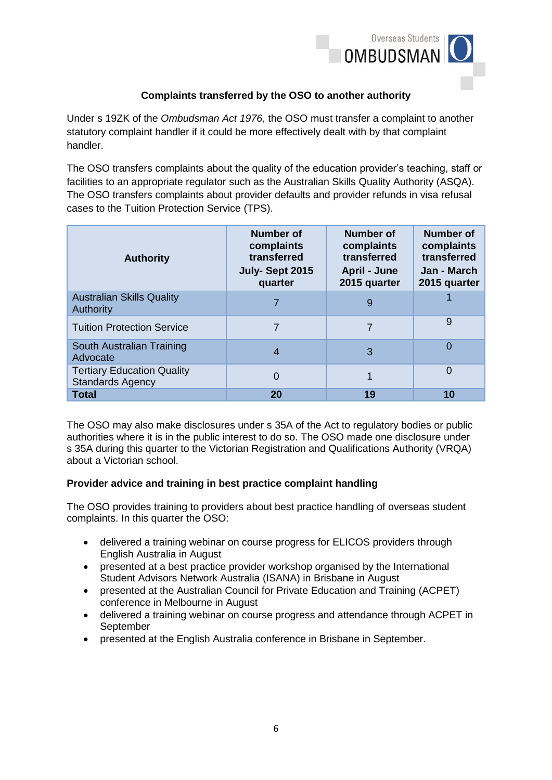

## **Complaints transferred by the OSO to another authority**

Under s 19ZK of the *Ombudsman Act 1976*, the OSO must transfer a complaint to another statutory complaint handler if it could be more effectively dealt with by that complaint handler.

The OSO transfers complaints about the quality of the education provider's teaching, staff or facilities to an appropriate regulator such as the Australian Skills Quality Authority (ASQA). The OSO transfers complaints about provider defaults and provider refunds in visa refusal cases to the Tuition Protection Service (TPS).

| <b>Authority</b>                                             | Number of<br>complaints<br>transferred<br>July-Sept 2015<br>quarter | Number of<br>complaints<br>transferred<br><b>April - June</b><br>2015 quarter | Number of<br>complaints<br>transferred<br>Jan - March<br>2015 quarter |
|--------------------------------------------------------------|---------------------------------------------------------------------|-------------------------------------------------------------------------------|-----------------------------------------------------------------------|
| <b>Australian Skills Quality</b><br><b>Authority</b>         |                                                                     | 9                                                                             |                                                                       |
| <b>Tuition Protection Service</b>                            |                                                                     | 7                                                                             | 9                                                                     |
| South Australian Training<br>Advocate                        | 4                                                                   | 3                                                                             | $\Omega$                                                              |
| <b>Tertiary Education Quality</b><br><b>Standards Agency</b> | 0                                                                   |                                                                               | $\overline{0}$                                                        |
| <b>Total</b>                                                 | 20                                                                  | 19                                                                            | 10                                                                    |

The OSO may also make disclosures under s 35A of the Act to regulatory bodies or public authorities where it is in the public interest to do so. The OSO made one disclosure under s 35A during this quarter to the Victorian Registration and Qualifications Authority (VRQA) about a Victorian school.

#### **Provider advice and training in best practice complaint handling**

The OSO provides training to providers about best practice handling of overseas student complaints. In this quarter the OSO:

- delivered a training webinar on course progress for ELICOS providers through English Australia in August
- presented at a best practice provider workshop organised by the International Student Advisors Network Australia (ISANA) in Brisbane in August
- presented at the Australian Council for Private Education and Training (ACPET) conference in Melbourne in August
- delivered a training webinar on course progress and attendance through ACPET in September
- presented at the English Australia conference in Brisbane in September.